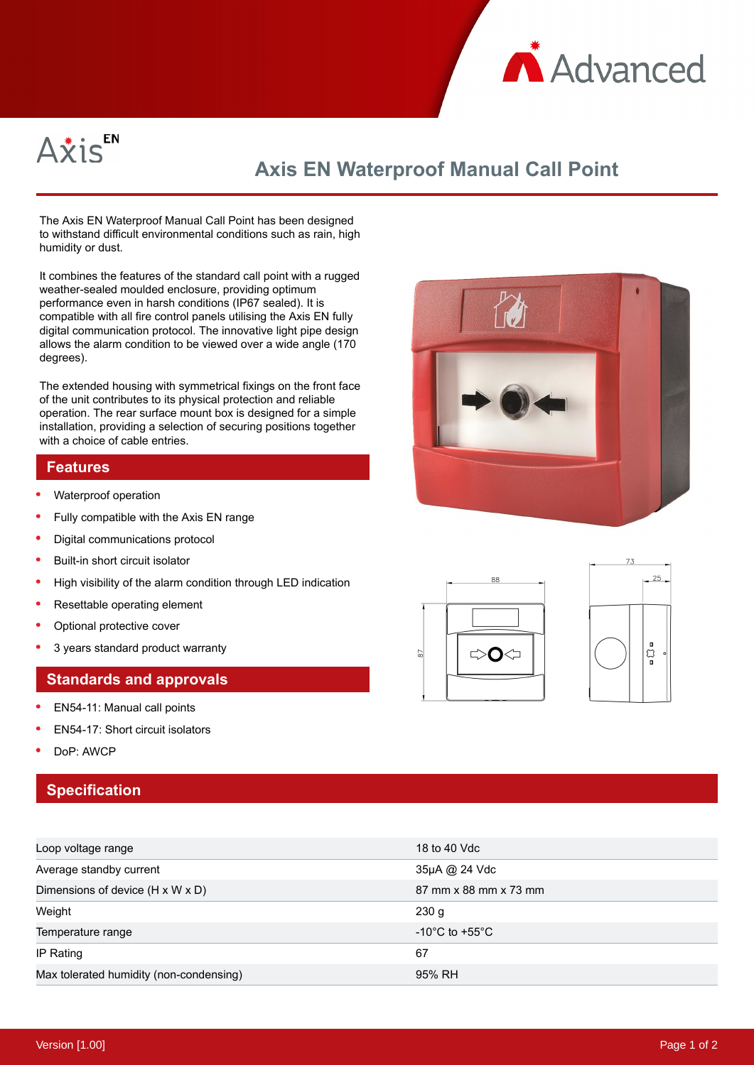



# **Axis EN Waterproof Manual Call Point**

The Axis EN Waterproof Manual Call Point has been designed to withstand difficult environmental conditions such as rain, high humidity or dust.

It combines the features of the standard call point with a rugged weather-sealed moulded enclosure, providing optimum performance even in harsh conditions (IP67 sealed). It is compatible with all fire control panels utilising the Axis EN fully digital communication protocol. The innovative light pipe design allows the alarm condition to be viewed over a wide angle (170 degrees).

The extended housing with symmetrical fixings on the front face of the unit contributes to its physical protection and reliable operation. The rear surface mount box is designed for a simple installation, providing a selection of securing positions together with a choice of cable entries.

#### **Features**

- $\bullet$ Waterproof operation
- Fully compatible with the Axis EN range
- Digital communications protocol
- $\bullet$ Built-in short circuit isolator
- High visibility of the alarm condition through LED indication
- Resettable operating element
- Optional protective cover
- 3 years standard product warranty

#### **Standards and approvals**

- EN54-11: Manual call points
- EN54-17: Short circuit isolators
- DoP: AWCP

### **Specification**